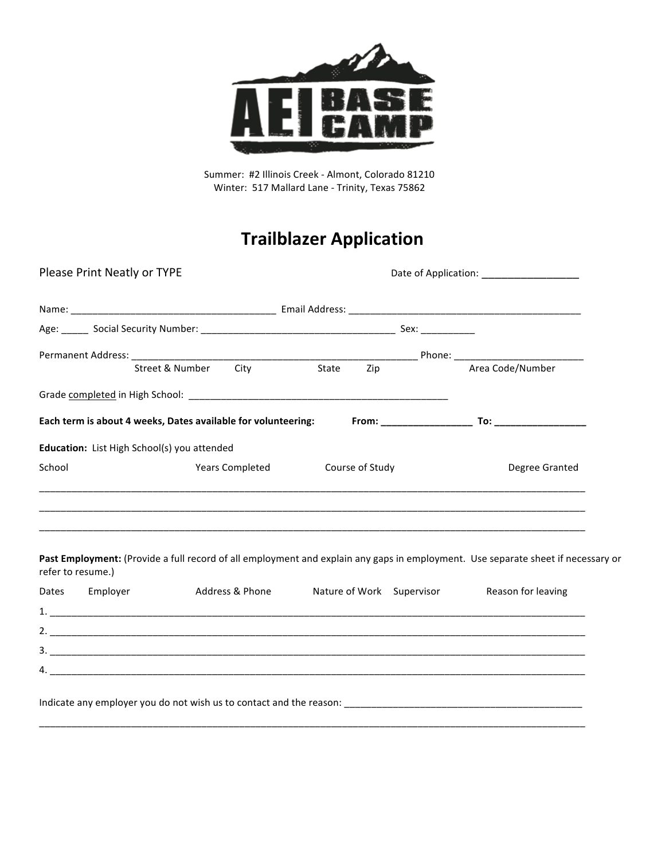

Summer: #2 Illinois Creek - Almont, Colorado 81210 Winter: 517 Mallard Lane - Trinity, Texas 75862

# **Trailblazer Application**

| Please Print Neatly or TYPE                                   |                      |                 | Date of Application: ___________________ |                 |                    |                  |
|---------------------------------------------------------------|----------------------|-----------------|------------------------------------------|-----------------|--------------------|------------------|
|                                                               |                      |                 |                                          |                 |                    |                  |
|                                                               |                      |                 |                                          |                 | Sex: ___________   |                  |
|                                                               |                      |                 |                                          |                 |                    |                  |
|                                                               | Street & Number City |                 | State                                    | Zip             |                    | Area Code/Number |
|                                                               |                      |                 |                                          |                 |                    |                  |
| Each term is about 4 weeks, Dates available for volunteering: |                      |                 |                                          |                 | $From: __________$ |                  |
| Education: List High School(s) you attended                   |                      |                 |                                          |                 |                    |                  |
| School                                                        |                      | Years Completed |                                          | Course of Study |                    | Degree Granted   |
|                                                               |                      |                 |                                          |                 |                    |                  |
|                                                               |                      |                 |                                          |                 |                    |                  |

Past Employment: (Provide a full record of all employment and explain any gaps in employment. Use separate sheet if necessary or refer to resume.)

| Dates | Employer | Address & Phone | Nature of Work Supervisor | Reason for leaving |
|-------|----------|-----------------|---------------------------|--------------------|
| 1.    |          |                 |                           |                    |
| 2.    |          |                 |                           |                    |
| 3.    |          |                 |                           |                    |
| 4.    |          |                 |                           |                    |
|       |          |                 |                           |                    |

\_\_\_\_\_\_\_\_\_\_\_\_\_\_\_\_\_\_\_\_\_\_\_\_\_\_\_\_\_\_\_\_\_\_\_\_\_\_\_\_\_\_\_\_\_\_\_\_\_\_\_\_\_\_\_\_\_\_\_\_\_\_\_\_\_\_\_\_\_\_\_\_\_\_\_\_\_\_\_\_\_\_\_\_\_\_\_\_\_\_\_\_\_\_\_\_\_\_\_\_\_

\_\_\_\_\_\_\_\_\_\_\_\_\_\_\_\_\_\_\_\_\_\_\_\_\_\_\_\_\_\_\_\_\_\_\_\_\_\_\_\_\_\_\_\_\_\_\_\_\_\_\_\_\_\_\_\_\_\_\_\_\_\_\_\_\_\_\_\_\_\_\_\_\_\_\_\_\_\_\_\_\_\_\_\_\_\_\_\_\_\_\_\_\_\_\_\_\_\_\_\_\_

Indicate any employer you do not wish us to contact and the reason: \_\_\_\_\_\_\_\_\_\_\_\_\_\_\_\_\_\_\_\_\_\_\_\_\_\_\_\_\_\_\_\_\_\_\_\_\_\_\_\_\_\_\_\_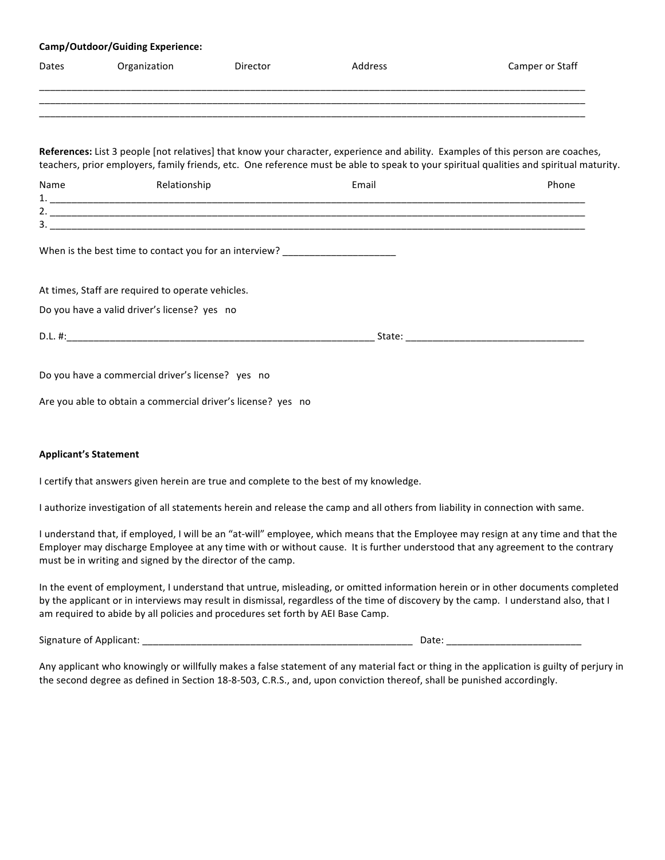| <b>Camp/Outdoor/Guiding Experience:</b> |                                                                                                             |          |         |                                                                                                                                                                                                                                                                             |  |
|-----------------------------------------|-------------------------------------------------------------------------------------------------------------|----------|---------|-----------------------------------------------------------------------------------------------------------------------------------------------------------------------------------------------------------------------------------------------------------------------------|--|
| Dates                                   | Organization                                                                                                | Director | Address | Camper or Staff                                                                                                                                                                                                                                                             |  |
|                                         |                                                                                                             |          |         |                                                                                                                                                                                                                                                                             |  |
|                                         |                                                                                                             |          |         | References: List 3 people [not relatives] that know your character, experience and ability. Examples of this person are coaches,<br>teachers, prior employers, family friends, etc. One reference must be able to speak to your spiritual qualities and spiritual maturity. |  |
| Name                                    | Relationship                                                                                                |          | Email   | Phone                                                                                                                                                                                                                                                                       |  |
|                                         |                                                                                                             |          |         |                                                                                                                                                                                                                                                                             |  |
|                                         |                                                                                                             |          |         |                                                                                                                                                                                                                                                                             |  |
|                                         | When is the best time to contact you for an interview?<br>At times, Staff are required to operate vehicles. |          |         |                                                                                                                                                                                                                                                                             |  |
|                                         |                                                                                                             |          |         |                                                                                                                                                                                                                                                                             |  |
|                                         | Do you have a valid driver's license? yes no                                                                |          |         |                                                                                                                                                                                                                                                                             |  |
|                                         |                                                                                                             |          |         |                                                                                                                                                                                                                                                                             |  |
|                                         |                                                                                                             |          |         |                                                                                                                                                                                                                                                                             |  |
|                                         | Do you have a commercial driver's license? yes no                                                           |          |         |                                                                                                                                                                                                                                                                             |  |
|                                         | Are you able to obtain a commercial driver's license? yes no                                                |          |         |                                                                                                                                                                                                                                                                             |  |
|                                         |                                                                                                             |          |         |                                                                                                                                                                                                                                                                             |  |
|                                         |                                                                                                             |          |         |                                                                                                                                                                                                                                                                             |  |

#### **Applicant's Statement**

I certify that answers given herein are true and complete to the best of my knowledge.

I authorize investigation of all statements herein and release the camp and all others from liability in connection with same.

I understand that, if employed, I will be an "at-will" employee, which means that the Employee may resign at any time and that the Employer may discharge Employee at any time with or without cause. It is further understood that any agreement to the contrary must be in writing and signed by the director of the camp.

In the event of employment, I understand that untrue, misleading, or omitted information herein or in other documents completed by the applicant or in interviews may result in dismissal, regardless of the time of discovery by the camp. I understand also, that I am required to abide by all policies and procedures set forth by AEI Base Camp.

Signature of Applicant: \_\_\_\_\_\_\_\_\_\_\_\_\_\_\_\_\_\_\_\_\_\_\_\_\_\_\_\_\_\_\_\_\_\_\_\_\_\_\_\_\_\_\_\_\_\_\_\_\_\_ Date: \_\_\_\_\_\_\_\_\_\_\_\_\_\_\_\_\_\_\_\_\_\_\_\_\_

Any applicant who knowingly or willfully makes a false statement of any material fact or thing in the application is guilty of perjury in the second degree as defined in Section 18-8-503, C.R.S., and, upon conviction thereof, shall be punished accordingly.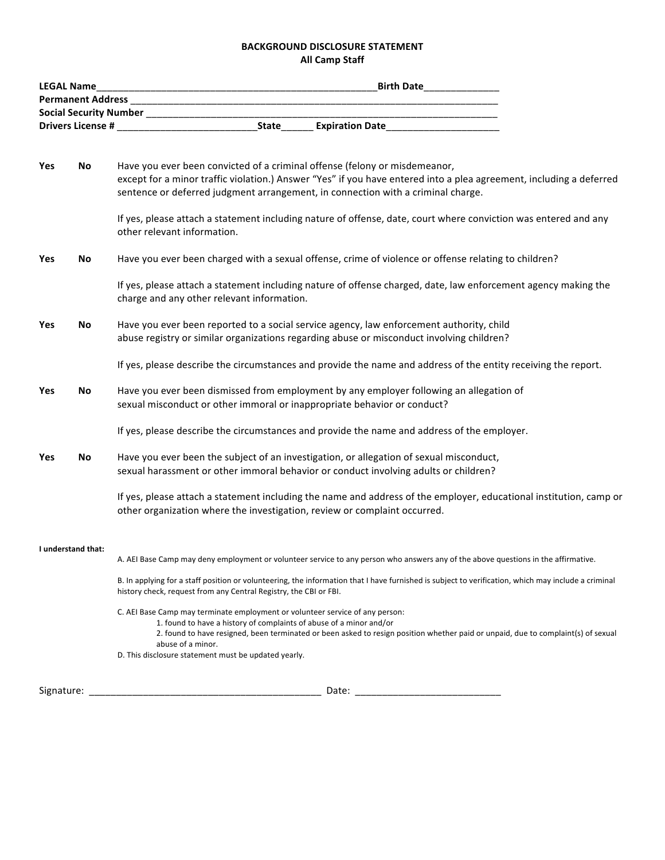### **BACKGROUND DISCLOSURE STATEMENT All Camp Staff**

|            | <b>LEGAL Name</b>                                                                                           | <b>Birth Date</b><br><u> 1989 - Johann Harry Harry Harry Harry Harry Harry Harry Harry Harry Harry Harry Harry Harry Harry Harry Harry</u>                                                                                                                                                                     |  |  |  |  |  |
|------------|-------------------------------------------------------------------------------------------------------------|----------------------------------------------------------------------------------------------------------------------------------------------------------------------------------------------------------------------------------------------------------------------------------------------------------------|--|--|--|--|--|
|            |                                                                                                             |                                                                                                                                                                                                                                                                                                                |  |  |  |  |  |
|            |                                                                                                             |                                                                                                                                                                                                                                                                                                                |  |  |  |  |  |
|            |                                                                                                             | State Expiration Date<br><u>Expiration Date</u>                                                                                                                                                                                                                                                                |  |  |  |  |  |
| Yes        | No                                                                                                          | Have you ever been convicted of a criminal offense (felony or misdemeanor,<br>except for a minor traffic violation.) Answer "Yes" if you have entered into a plea agreement, including a deferred<br>sentence or deferred judgment arrangement, in connection with a criminal charge.                          |  |  |  |  |  |
|            |                                                                                                             | If yes, please attach a statement including nature of offense, date, court where conviction was entered and any<br>other relevant information.                                                                                                                                                                 |  |  |  |  |  |
| Yes        | Have you ever been charged with a sexual offense, crime of violence or offense relating to children?<br>No. |                                                                                                                                                                                                                                                                                                                |  |  |  |  |  |
|            |                                                                                                             | If yes, please attach a statement including nature of offense charged, date, law enforcement agency making the<br>charge and any other relevant information.                                                                                                                                                   |  |  |  |  |  |
| Yes        | No                                                                                                          | Have you ever been reported to a social service agency, law enforcement authority, child<br>abuse registry or similar organizations regarding abuse or misconduct involving children?                                                                                                                          |  |  |  |  |  |
|            |                                                                                                             | If yes, please describe the circumstances and provide the name and address of the entity receiving the report.                                                                                                                                                                                                 |  |  |  |  |  |
| Yes        | No                                                                                                          | Have you ever been dismissed from employment by any employer following an allegation of<br>sexual misconduct or other immoral or inappropriate behavior or conduct?                                                                                                                                            |  |  |  |  |  |
|            |                                                                                                             | If yes, please describe the circumstances and provide the name and address of the employer.                                                                                                                                                                                                                    |  |  |  |  |  |
| Yes        | No                                                                                                          | Have you ever been the subject of an investigation, or allegation of sexual misconduct,<br>sexual harassment or other immoral behavior or conduct involving adults or children?                                                                                                                                |  |  |  |  |  |
|            |                                                                                                             | If yes, please attach a statement including the name and address of the employer, educational institution, camp or<br>other organization where the investigation, review or complaint occurred.                                                                                                                |  |  |  |  |  |
|            | I understand that:                                                                                          | A. AEI Base Camp may deny employment or volunteer service to any person who answers any of the above questions in the affirmative.                                                                                                                                                                             |  |  |  |  |  |
|            |                                                                                                             | B. In applying for a staff position or volunteering, the information that I have furnished is subject to verification, which may include a criminal<br>history check, request from any Central Registry, the CBI or FBI.                                                                                       |  |  |  |  |  |
|            |                                                                                                             | C. AEI Base Camp may terminate employment or volunteer service of any person:<br>1. found to have a history of complaints of abuse of a minor and/or<br>2. found to have resigned, been terminated or been asked to resign position whether paid or unpaid, due to complaint(s) of sexual<br>abuse of a minor. |  |  |  |  |  |
|            |                                                                                                             | D. This disclosure statement must be updated yearly.                                                                                                                                                                                                                                                           |  |  |  |  |  |
| Signature: |                                                                                                             | Date:                                                                                                                                                                                                                                                                                                          |  |  |  |  |  |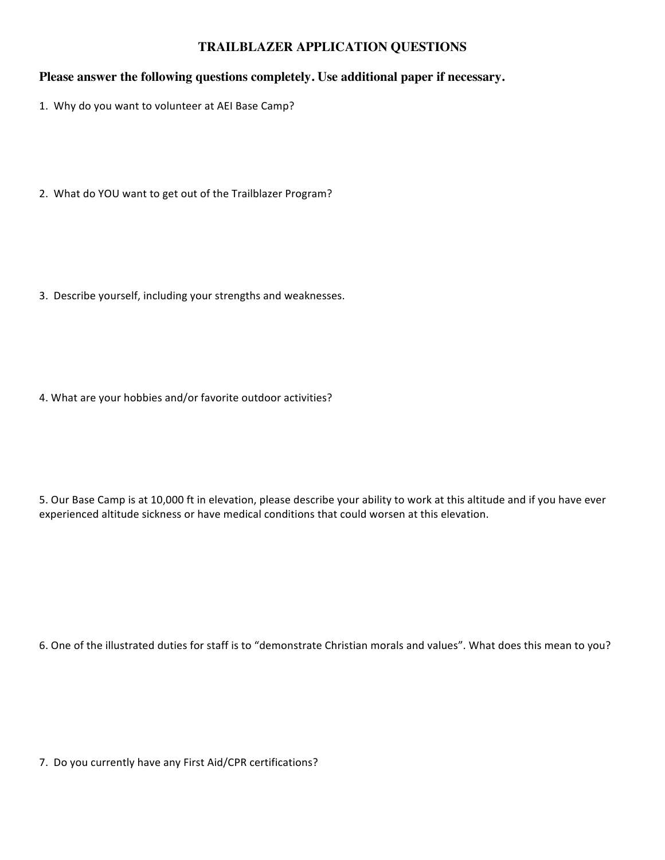## **TRAILBLAZER APPLICATION QUESTIONS**

## **Please answer the following questions completely. Use additional paper if necessary.**

- 1. Why do you want to volunteer at AEI Base Camp?
- 2. What do YOU want to get out of the Trailblazer Program?

3. Describe yourself, including your strengths and weaknesses.

4. What are your hobbies and/or favorite outdoor activities?

5. Our Base Camp is at 10,000 ft in elevation, please describe your ability to work at this altitude and if you have ever experienced altitude sickness or have medical conditions that could worsen at this elevation.

6. One of the illustrated duties for staff is to "demonstrate Christian morals and values". What does this mean to you?

7. Do you currently have any First Aid/CPR certifications?